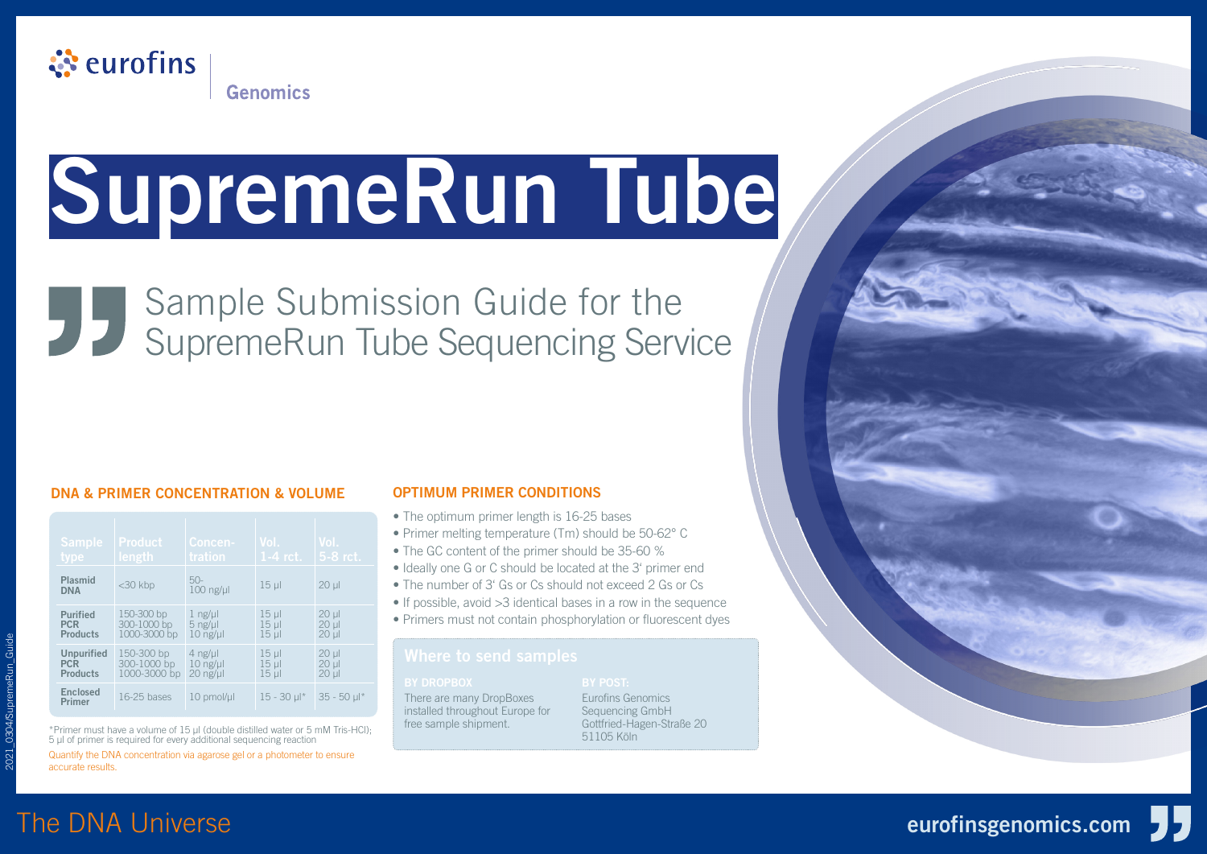

# **SupremeRun Tube**

Sample Submission Guide for the " SupremeRun Tube Sequencing Service

#### **DNA & PRIMER CONCENTRATION & VOLUME**

| <b>Sample</b>         | <b>Product</b> | <b>Concen-</b>           | Vol.                     | Vol.                         |
|-----------------------|----------------|--------------------------|--------------------------|------------------------------|
| type                  | length         | <b>tration</b>           | $1-4$ rct.               | $5-8$ rct.                   |
| Plasmid<br><b>DNA</b> | $<$ 30 kbp     | $50-$<br>$100$ ng/ $\mu$ | $15 \mu$                 | $20$ ul                      |
| <b>Purified</b>       | 150-300 bp     | $1$ ng/ $\mu$            | $15 \mu$                 | $20$ $\mu$                   |
| <b>PCR</b>            | 300-1000 bp    | $5$ ng/ $\mu$            | $15$ $\mu$               | $20$ $\mu$                   |
| <b>Products</b>       | 1000-3000 bp   | $10$ ng/ $\mu$           | $15 \mu$                 | $20 \mu$                     |
| <b>Unpurified</b>     | 150-300 bp     | $4$ ng/ $\mu$            | $15 \mu$                 | $20$ ul                      |
| <b>PCR</b>            | 300-1000 bp    | $10$ ng/ $\mu$           | $15$ $\mu$               | $20$ ul                      |
| <b>Products</b>       | 1000-3000 bp   | $20$ ng/ $\mu$           | $15 \mu$                 | 20 ul                        |
| Enclosed<br>Primer    | 16-25 bases    | 10 pmol/µl               | $15 - 30$ µ <sup>*</sup> | $35 - 50$ $\mu$ <sup>*</sup> |

\*Primer must have a volume of 15 μl (double distilled water or 5 mM Tris-HCl); 5 μl of primer is required for every additional sequencing reaction

Quantify the DNA concentration via agarose gel or a photometer to ensure accurate results.

#### **OPTIMUM PRIMER CONDITIONS**

- The optimum primer length is 16-25 bases
- Primer melting temperature (Tm) should be 50-62° C
- The GC content of the primer should be 35-60 %
- Ideally one G or C should be located at the 3' primer end
- The number of 3' Gs or Cs should not exceed 2 Gs or Cs
- If possible, avoid > 3 identical bases in a row in the sequence
- Primers must not contain phosphorylation or fluorescent dyes

There are many DropBoxes installed throughout Europe for free sample shipment.

Eurofins Genomics Sequencing GmbH Gottfried-Hagen-Straße 20 51105 Köln



# 2021\_0304/SupremeRun\_Guide